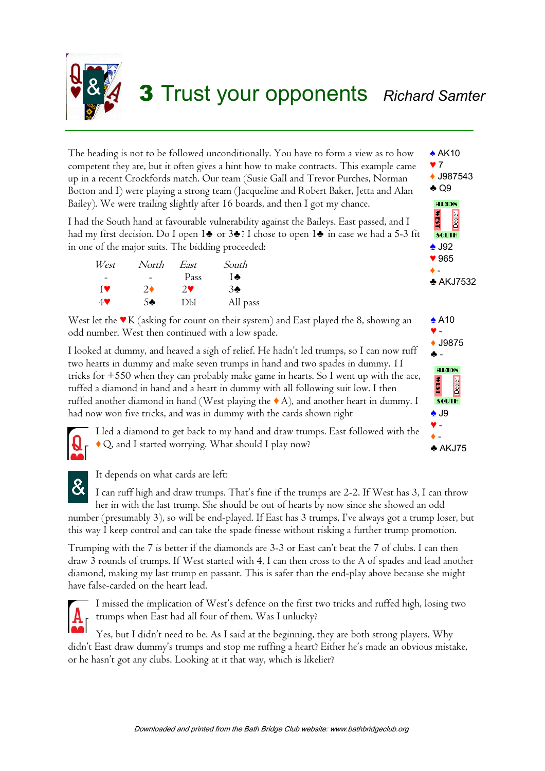

The heading is not to be followed unconditionally. You have to form a view as to how competent they are, but it often gives a hint how to make contracts. This example came up in a recent Crockfords match. Our team (Susie Gall and Trevor Purches, Norman Botton and I) were playing a strong team (Jacqueline and Robert Baker, Jetta and Alan Bailey). We were trailing slightly after 16 boards, and then I got my chance.

I had the South hand at favourable vulnerability against the Baileys. East passed, and I had my first decision. Do I open 1♣ or 3♣? I chose to open 1♣ in case we had a 5-3 fit in one of the major suits. The bidding proceeded:

| West | North      | East        | South    |
|------|------------|-------------|----------|
|      |            | Pass        | ⊺÷ I     |
| ĪV   | $2\bullet$ | $2^{\circ}$ | $3 -$    |
| 49   | 5♣.        | DЫ          | All pass |

West let the ♥K (asking for count on their system) and East played the 8, showing an odd number. West then continued with a low spade.

I looked at dummy, and heaved a sigh of relief. He hadn't led trumps, so I can now ruff two hearts in dummy and make seven trumps in hand and two spades in dummy. 11 tricks for +550 when they can probably make game in hearts. So I went up with the ace, ruffed a diamond in hand and a heart in dummy with all following suit low. I then ruffed another diamond in hand (West playing the ♦ A), and another heart in dummy. I had now won five tricks, and was in dummy with the cards shown right



I led a diamond to get back to my hand and draw trumps. East followed with the ♦ Q, and I started worrying. What should I play now?



It depends on what cards are left:

I can ruff high and draw trumps. That's fine if the trumps are 2-2. If West has 3, I can throw her in with the last trump. She should be out of hearts by now since she showed an odd number (presumably 3), so will be end-played. If East has 3 trumps, I've always got a trump loser, but this way I keep control and can take the spade finesse without risking a further trump promotion.

Trumping with the 7 is better if the diamonds are 3-3 or East can't beat the 7 of clubs. I can then draw 3 rounds of trumps. If West started with 4, I can then cross to the A of spades and lead another diamond, making my last trump en passant. This is safer than the end-play above because she might have false-carded on the heart lead.



I missed the implication of West's defence on the first two tricks and ruffed high, losing two trumps when East had all four of them. Was I unlucky?

Yes, but I didn't need to be. As I said at the beginning, they are both strong players. Why didn't East draw dummy's trumps and stop me ruffing a heart? Either he's made an obvious mistake, or he hasn't got any clubs. Looking at it that way, which is likelier?